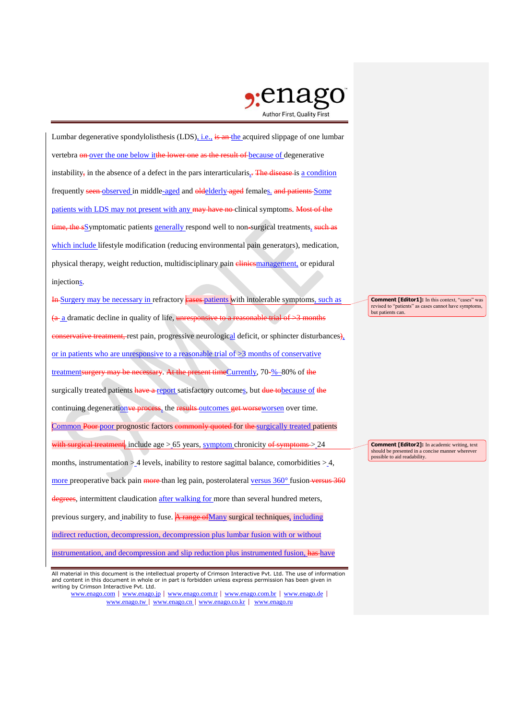

Lumbar degenerative spondylolisthesis (LDS), i.e., is an the acquired slippage of one lumbar vertebra on over the one below it the lower one as the result of because of degenerative instability, in the absence of a defect in the pars interarticularis, The disease is a condition frequently seen observed in middle-aged and oldelderly aged females. and patients Some patients with LDS may not present with any may have no clinical symptoms. Most of the time, the sSymptomatic patients generally respond well to non-surgical treatments, such as which include lifestyle modification (reducing environmental pain generators), medication, physical therapy, weight reduction, multidisciplinary pain *elinicsmanagement*, or epidural injections.

In Surgery may be necessary in refractory eases patients with intolerable symptoms, such as  $(a<sub>1</sub>a)$  dramatic decline in quality of life, unresponsive to a reasonable trial of  $\geq$ 3 months **onservative treatment,** rest pain, progressive neurological deficit, or sphincter disturbances), or in patients who are unresponsive to a reasonable trial of  $\geq$ 3 months of conservative treatmentsurgery may be necessary. At the present timeCurrently, 70-%–80% of the surgically treated patients have a report satisfactory outcomes, but due to because of the continuing degeneration<del>ve process</del>, the results outcomes get worseworsen over time. Common Poor poor prognostic factors commonly quoted for the surgically treated patients with surgical treatment, include age  $> 65$  years, symptom chronicity of symptoms  $> 24$ months, instrumentation  $> 4$  levels, inability to restore sagittal balance, comorbidities  $> 4$ , more preoperative back pain more than leg pain, posterolateral versus 360° fusion versus 360 degrees, intermittent claudication after walking for more than several hundred meters, previous surgery, and inability to fuse. A range of Many surgical techniques, including indirect reduction, decompression, decompression plus lumbar fusion with or without instrumentation, and decompression and slip reduction plus instrumented fusion, has have

www.enago.com | www.enago.jp | www.enago.com.tr | www.enago.com.br | www.enago.de | www.enago.tw | www.enago.cn | www.enago.co.kr | www.enago.ru

**Comment [Editor1]:** In this context, "cases" was revised to "patients" as cases cannot have symptoms, but patients can.

**Comment [Editor2]:** In academic writing, text should be presented in a concise manner where possible to aid readability.

All material in this document is the intellectual property of Crimson Interactive Pvt. Ltd. The use of information and content in this document in whole or in part is forbidden unless express permission has been given in writing by Crimson Interactive Pvt. Ltd.